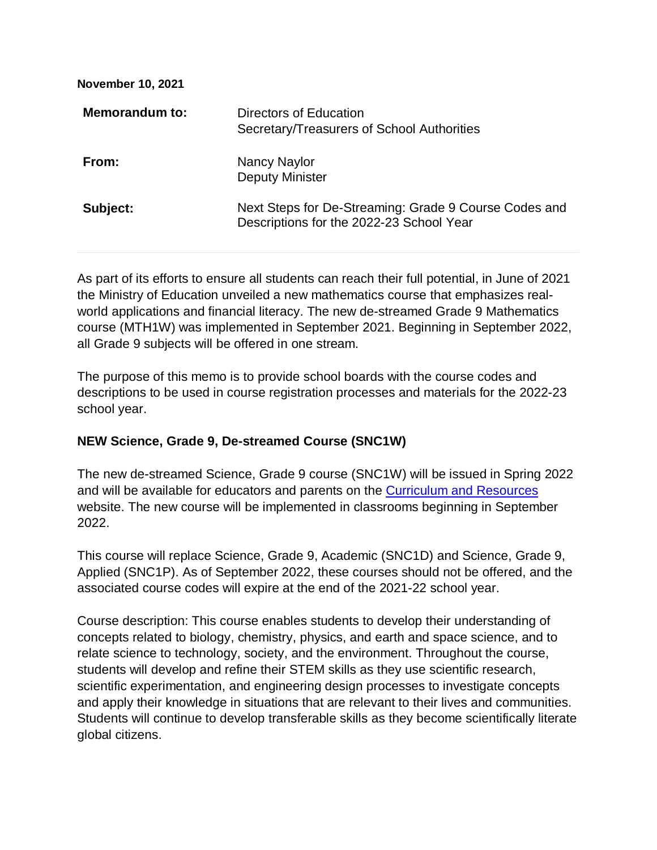| <b>November 10, 2021</b> |                                                                                                   |
|--------------------------|---------------------------------------------------------------------------------------------------|
| Memorandum to:           | Directors of Education<br>Secretary/Treasurers of School Authorities                              |
| From:                    | Nancy Naylor<br><b>Deputy Minister</b>                                                            |
| Subject:                 | Next Steps for De-Streaming: Grade 9 Course Codes and<br>Descriptions for the 2022-23 School Year |

As part of its efforts to ensure all students can reach their full potential, in June of 2021 the Ministry of Education unveiled a new mathematics course that emphasizes realworld applications and financial literacy. The new de-streamed Grade 9 Mathematics course (MTH1W) was implemented in September 2021. Beginning in September 2022, all Grade 9 subjects will be offered in one stream.

The purpose of this memo is to provide school boards with the course codes and descriptions to be used in course registration processes and materials for the 2022-23 school year.

# **NEW Science, Grade 9, De-streamed Course (SNC1W)**

The new de-streamed Science, Grade 9 course (SNC1W) will be issued in Spring 2022 and will be available for educators and parents on the [Curriculum and Resources](https://www.dcp.edu.gov.on.ca/en/) website. The new course will be implemented in classrooms beginning in September 2022.

This course will replace Science, Grade 9, Academic (SNC1D) and Science, Grade 9, Applied (SNC1P). As of September 2022, these courses should not be offered, and the associated course codes will expire at the end of the 2021-22 school year.

Course description: This course enables students to develop their understanding of concepts related to biology, chemistry, physics, and earth and space science, and to relate science to technology, society, and the environment. Throughout the course, students will develop and refine their STEM skills as they use scientific research, scientific experimentation, and engineering design processes to investigate concepts and apply their knowledge in situations that are relevant to their lives and communities. Students will continue to develop transferable skills as they become scientifically literate global citizens.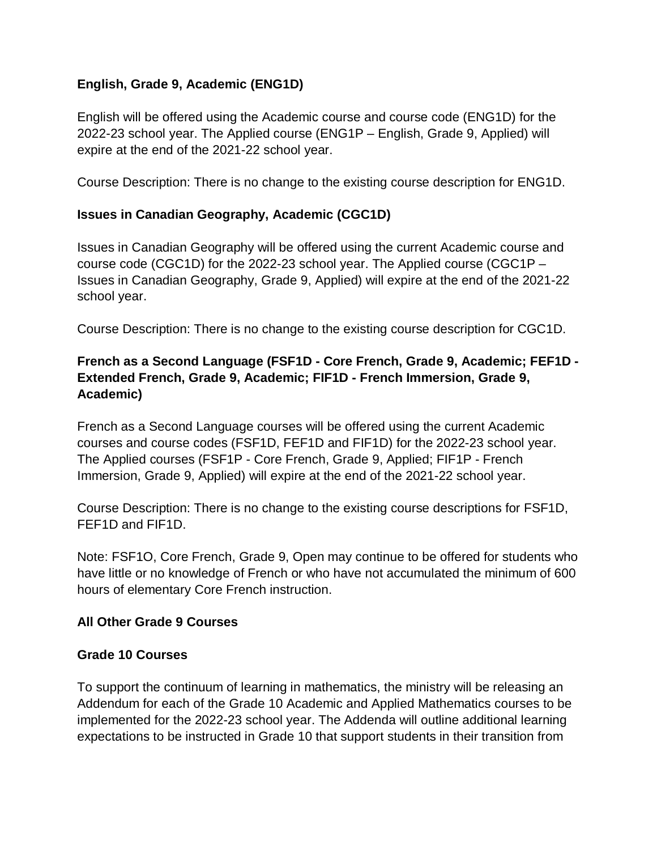### **English, Grade 9, Academic (ENG1D)**

English will be offered using the Academic course and course code (ENG1D) for the 2022-23 school year. The Applied course (ENG1P – English, Grade 9, Applied) will expire at the end of the 2021-22 school year.

Course Description: There is no change to the existing course description for ENG1D.

#### **Issues in Canadian Geography, Academic (CGC1D)**

Issues in Canadian Geography will be offered using the current Academic course and course code (CGC1D) for the 2022-23 school year. The Applied course (CGC1P – Issues in Canadian Geography, Grade 9, Applied) will expire at the end of the 2021-22 school year.

Course Description: There is no change to the existing course description for CGC1D.

# **French as a Second Language (FSF1D - Core French, Grade 9, Academic; FEF1D - Extended French, Grade 9, Academic; FIF1D - French Immersion, Grade 9, Academic)**

French as a Second Language courses will be offered using the current Academic courses and course codes (FSF1D, FEF1D and FIF1D) for the 2022-23 school year. The Applied courses (FSF1P - Core French, Grade 9, Applied; FIF1P - French Immersion, Grade 9, Applied) will expire at the end of the 2021-22 school year.

Course Description: There is no change to the existing course descriptions for FSF1D, FEF1D and FIF1D.

Note: FSF1O, Core French, Grade 9, Open may continue to be offered for students who have little or no knowledge of French or who have not accumulated the minimum of 600 hours of elementary Core French instruction.

#### **All Other Grade 9 Courses**

#### **Grade 10 Courses**

To support the continuum of learning in mathematics, the ministry will be releasing an Addendum for each of the Grade 10 Academic and Applied Mathematics courses to be implemented for the 2022-23 school year. The Addenda will outline additional learning expectations to be instructed in Grade 10 that support students in their transition from